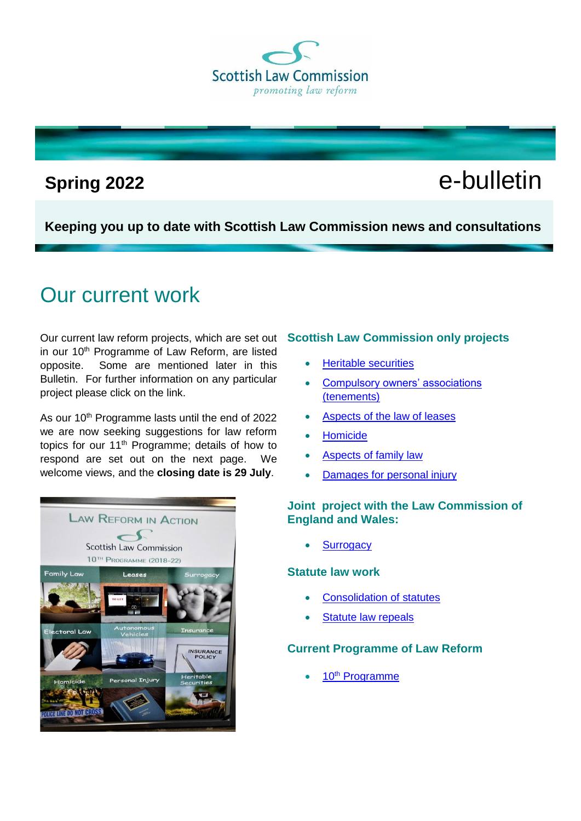**Scottish Law Commission** promoting law reform

# **Spring 2022** e-bulletin

**Keeping you up to date with Scottish Law Commission news and consultations**

## Our current work

Our current law reform projects, which are set out **Scottish Law Commission only projects** in our 10<sup>th</sup> Programme of Law Reform, are listed opposite. Some are mentioned later in this Bulletin. For further information on any particular project please click on the link.

As our 10<sup>th</sup> Programme lasts until the end of 2022 we are now seeking suggestions for law reform topics for our 11th Programme; details of how to respond are set out on the next page. We welcome views, and the **closing date is 29 July**.



- [Heritable securities](https://www.scotlawcom.gov.uk/law-reform/law-reform-projects/heritable-securities/)
- [Compulsory owners' associations](https://www.scotlawcom.gov.uk/law-reform/law-reform-projects/tenement-law-compulsory-owners-associations/)  [\(tenements\)](https://www.scotlawcom.gov.uk/law-reform/law-reform-projects/tenement-law-compulsory-owners-associations/)
- [Aspects of the law of leases](https://www.scotlawcom.gov.uk/law-reform/law-reform-projects/proprietary-aspect-of-leases/)
- [Homicide](https://www.scotlawcom.gov.uk/law-reform/law-reform-projects/homicide/)
- [Aspects of family law](https://www.scotlawcom.gov.uk/law-reform/law-reform-projects/aspects-of-family-law/)
- [Damages for personal injury](https://www.scotlawcom.gov.uk/law-reform/law-reform-projects/damages-for-personal-injury/)

#### **Joint project with the Law Commission of England and Wales:**

**[Surrogacy](https://www.scotlawcom.gov.uk/law-reform/law-reform-projects/joint-projects/surrogacy/)** 

#### **Statute law work**

- [Consolidation of statutes](https://www.scotlawcom.gov.uk/law-reform/law-reform-projects/joint-projects/consolidation-of-statutes/)
- [Statute law repeals](https://www.scotlawcom.gov.uk/law-reform/law-reform-projects/joint-projects/statute-law-repeals/)

#### **Current Programme of Law Reform**

10th [Programme](https://www.scotlawcom.gov.uk/law-reform/tenth-programme-of-law-reform-consultation/)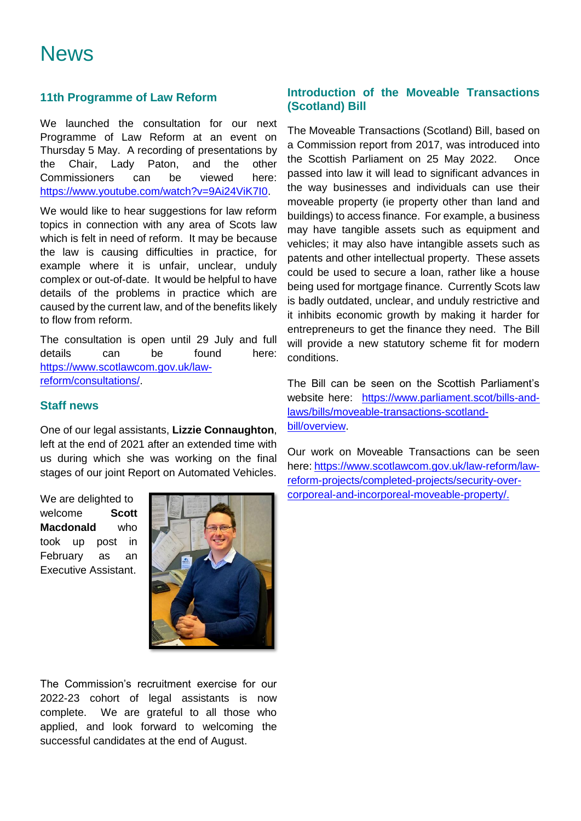### **11th Programme of Law Reform**

We launched the consultation for our next Programme of Law Reform at an event on Thursday 5 May. A recording of presentations by the Chair, Lady Paton, and the other Commissioners can be viewed here: [https://www.youtube.com/watch?v=9Ai24ViK7I0.](https://www.youtube.com/watch?v=9Ai24ViK7I0)

We would like to hear suggestions for law reform topics in connection with any area of Scots law which is felt in need of reform. It may be because the law is causing difficulties in practice, for example where it is unfair, unclear, unduly complex or out-of-date. It would be helpful to have details of the problems in practice which are caused by the current law, and of the benefits likely to flow from reform.

The consultation is open until 29 July and full details can be found here: [https://www.scotlawcom.gov.uk/law](https://www.scotlawcom.gov.uk/law-reform/consultations/)[reform/consultations/.](https://www.scotlawcom.gov.uk/law-reform/consultations/)

#### **Staff news**

One of our legal assistants, **Lizzie Connaughton**, left at the end of 2021 after an extended time with us during which she was working on the final stages of our joint Report on Automated Vehicles.

We are delighted to welcome **Scott Macdonald** who took up post in February as an Executive Assistant.



The Commission's recruitment exercise for our 2022-23 cohort of legal assistants is now complete. We are grateful to all those who applied, and look forward to welcoming the successful candidates at the end of August.

### **Introduction of the Moveable Transactions (Scotland) Bill**

The Moveable Transactions (Scotland) Bill, based on a Commission report from 2017, was introduced into the Scottish Parliament on 25 May 2022. Once passed into law it will lead to significant advances in the way businesses and individuals can use their moveable property (ie property other than land and buildings) to access finance. For example, a business may have tangible assets such as equipment and vehicles; it may also have intangible assets such as patents and other intellectual property. These assets could be used to secure a loan, rather like a house being used for mortgage finance. Currently Scots law is badly outdated, unclear, and unduly restrictive and it inhibits economic growth by making it harder for entrepreneurs to get the finance they need. The Bill will provide a new statutory scheme fit for modern conditions.

The Bill can be seen on the Scottish Parliament's website here: [https://www.parliament.scot/bills-and](https://www.parliament.scot/bills-and-laws/bills/moveable-transactions-scotland-bill/overview)[laws/bills/moveable-transactions-scotland](https://www.parliament.scot/bills-and-laws/bills/moveable-transactions-scotland-bill/overview)[bill/overview.](https://www.parliament.scot/bills-and-laws/bills/moveable-transactions-scotland-bill/overview)

Our work on Moveable Transactions can be seen here: [https://www.scotlawcom.gov.uk/law-reform/law](https://www.scotlawcom.gov.uk/law-reform/law-reform-projects/completed-projects/security-over-corporeal-and-incorporeal-moveable-property/)[reform-projects/completed-projects/security-over](https://www.scotlawcom.gov.uk/law-reform/law-reform-projects/completed-projects/security-over-corporeal-and-incorporeal-moveable-property/)[corporeal-and-incorporeal-moveable-property/.](https://www.scotlawcom.gov.uk/law-reform/law-reform-projects/completed-projects/security-over-corporeal-and-incorporeal-moveable-property/)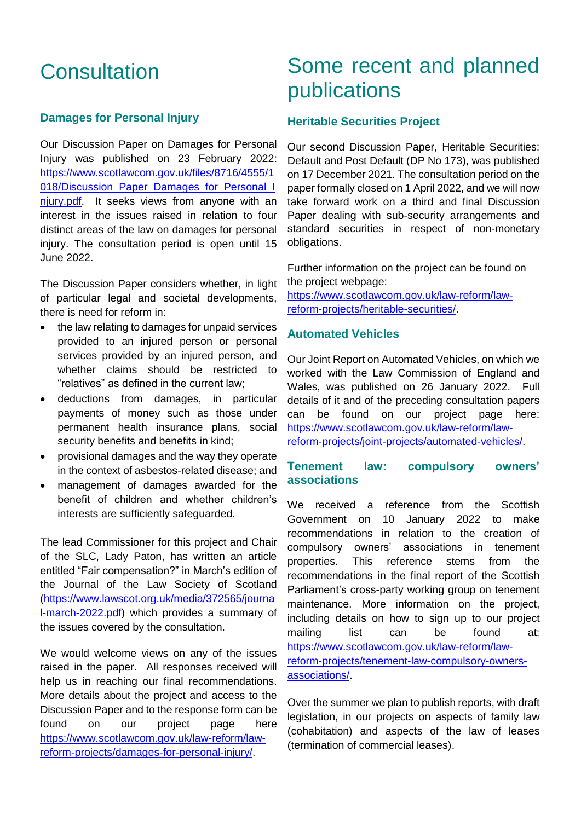## **Consultation**

#### **Damages for Personal Injury**

Our Discussion Paper on Damages for Personal Injury was published on 23 February 2022: [https://www.scotlawcom.gov.uk/files/8716/4555/1](https://www.scotlawcom.gov.uk/files/8716/4555/1018/Discussion_Paper_Damages_for_Personal_Injury.pdf) [018/Discussion\\_Paper\\_Damages\\_for\\_Personal\\_I](https://www.scotlawcom.gov.uk/files/8716/4555/1018/Discussion_Paper_Damages_for_Personal_Injury.pdf) niury.pdf. It seeks views from anyone with an interest in the issues raised in relation to four distinct areas of the law on damages for personal injury. The consultation period is open until 15 June 2022.

The Discussion Paper considers whether, in light of particular legal and societal developments, there is need for reform in:

- the law relating to damages for unpaid services provided to an injured person or personal services provided by an injured person, and whether claims should be restricted to "relatives" as defined in the current law;
- deductions from damages, in particular payments of money such as those under permanent health insurance plans, social security benefits and benefits in kind;
- provisional damages and the way they operate in the context of asbestos-related disease; and
- management of damages awarded for the benefit of children and whether children's interests are sufficiently safeguarded.

The lead Commissioner for this project and Chair of the SLC, Lady Paton, has written an article entitled "Fair compensation?" in March's edition of the Journal of the Law Society of Scotland [\(https://www.lawscot.org.uk/media/372565/journa](https://www.lawscot.org.uk/media/372565/journal-march-2022.pdf) [l-march-2022.pdf\)](https://www.lawscot.org.uk/media/372565/journal-march-2022.pdf) which provides a summary of the issues covered by the consultation.

We would welcome views on any of the issues raised in the paper. All responses received will help us in reaching our final recommendations. More details about the project and access to the Discussion Paper and to the response form can be found on our project page here [https://www.scotlawcom.gov.uk/law-reform/law](https://www.scotlawcom.gov.uk/law-reform/law-reform-projects/damages-for-personal-injury/)[reform-projects/damages-for-personal-injury/.](https://www.scotlawcom.gov.uk/law-reform/law-reform-projects/damages-for-personal-injury/)

## Some recent and planned publications

#### **Heritable Securities Project**

Our second Discussion Paper, Heritable Securities: Default and Post Default (DP No 173), was published on 17 December 2021. The consultation period on the paper formally closed on 1 April 2022, and we will now take forward work on a third and final Discussion Paper dealing with sub-security arrangements and standard securities in respect of non-monetary obligations.

Further information on the project can be found on the project webpage:

[https://www.scotlawcom.gov.uk/law-reform/law](https://www.scotlawcom.gov.uk/law-reform/law-reform-projects/heritable-securities/)[reform-projects/heritable-securities/.](https://www.scotlawcom.gov.uk/law-reform/law-reform-projects/heritable-securities/)

#### **Automated Vehicles**

Our Joint Report on Automated Vehicles, on which we worked with the Law Commission of England and Wales, was published on 26 January 2022. Full details of it and of the preceding consultation papers can be found on our project page here: [https://www.scotlawcom.gov.uk/law-reform/law](https://www.scotlawcom.gov.uk/law-reform/law-reform-projects/joint-projects/automated-vehicles/)[reform-projects/joint-projects/automated-vehicles/.](https://www.scotlawcom.gov.uk/law-reform/law-reform-projects/joint-projects/automated-vehicles/)

#### **Tenement law: compulsory owners' associations**

We received a reference from the Scottish Government on 10 January 2022 to make recommendations in relation to the creation of compulsory owners' associations in tenement properties. This reference stems from the recommendations in the final report of the Scottish Parliament's cross-party working group on tenement maintenance. More information on the project, including details on how to sign up to our project mailing list can be found at: [https://www.scotlawcom.gov.uk/law-reform/law](https://www.scotlawcom.gov.uk/law-reform/law-reform-projects/tenement-law-compulsory-owners-associations/)[reform-projects/tenement-law-compulsory-owners](https://www.scotlawcom.gov.uk/law-reform/law-reform-projects/tenement-law-compulsory-owners-associations/)[associations/.](https://www.scotlawcom.gov.uk/law-reform/law-reform-projects/tenement-law-compulsory-owners-associations/)

Over the summer we plan to publish reports, with draft legislation, in our projects on aspects of family law (cohabitation) and aspects of the law of leases (termination of commercial leases).